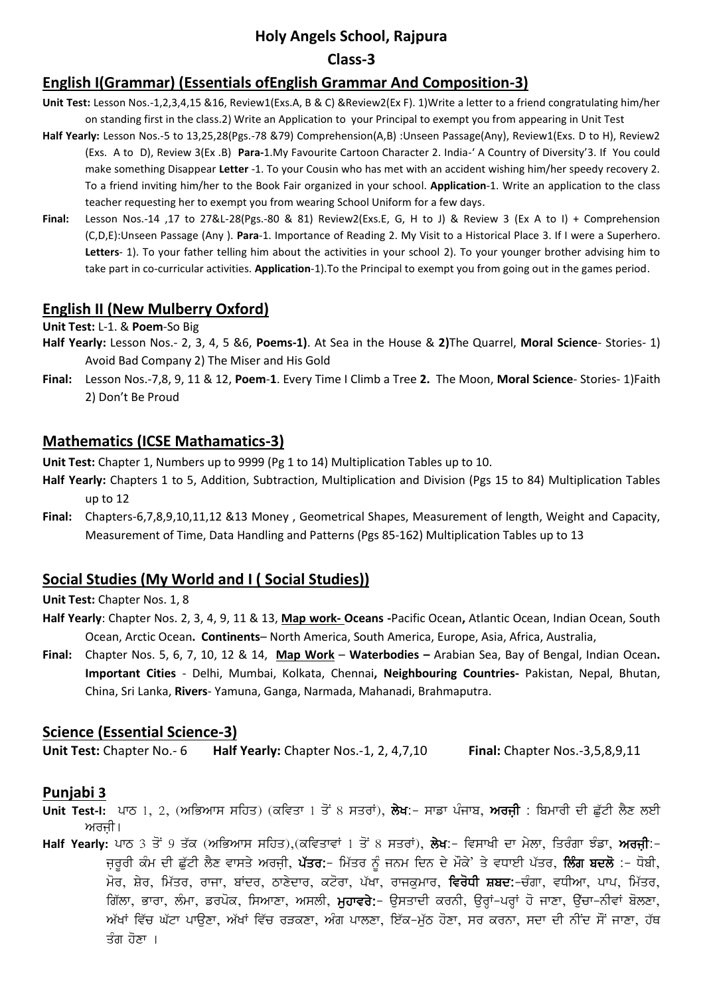# **Holy Angels School, Rajpura**

#### **Class-3**

# **English I(Grammar) (Essentials ofEnglish Grammar And Composition-3)**

- **Unit Test:** Lesson Nos.-1,2,3,4,15 &16, Review1(Exs.A, B & C) &Review2(Ex F). 1)Write a letter to a friend congratulating him/her on standing first in the class.2) Write an Application to your Principal to exempt you from appearing in Unit Test
- **Half Yearly:** Lesson Nos.-5 to 13,25,28(Pgs.-78 &79) Comprehension(A,B) :Unseen Passage(Any), Review1(Exs. D to H), Review2 (Exs. A to D), Review 3(Ex .B) **Para-**1.My Favourite Cartoon Character 2. India-' A Country of Diversity'3. If You could make something Disappear **Letter** -1. To your Cousin who has met with an accident wishing him/her speedy recovery 2. To a friend inviting him/her to the Book Fair organized in your school. **Application**-1. Write an application to the class teacher requesting her to exempt you from wearing School Uniform for a few days.
- **Final:** Lesson Nos.-14 ,17 to 27&L-28(Pgs.-80 & 81) Review2(Exs.E, G, H to J) & Review 3 (Ex A to I) + Comprehension (C,D,E):Unseen Passage (Any ). **Para**-1. Importance of Reading 2. My Visit to a Historical Place 3. If I were a Superhero. **Letters**- 1). To your father telling him about the activities in your school 2). To your younger brother advising him to take part in co-curricular activities. **Application**-1).To the Principal to exempt you from going out in the games period.

## **English II (New Mulberry Oxford)**

**Unit Test:** L-1. & **Poem**-So Big

- **Half Yearly:** Lesson Nos.- 2, 3, 4, 5 &6, **Poems-1)**. At Sea in the House & **2)**The Quarrel, **Moral Science** Stories- 1) Avoid Bad Company 2) The Miser and His Gold
- **Final:** Lesson Nos.-7,8, 9, 11 & 12, **Poem**-**1**. Every Time I Climb a Tree **2.** The Moon, **Moral Science** Stories- 1)Faith 2) Don't Be Proud

## **Mathematics (ICSE Mathamatics-3)**

**Unit Test:** Chapter 1, Numbers up to 9999 (Pg 1 to 14) Multiplication Tables up to 10.

- **Half Yearly:** Chapters 1 to 5, Addition, Subtraction, Multiplication and Division (Pgs 15 to 84) Multiplication Tables up to 12
- **Final:** Chapters-6,7,8,9,10,11,12 &13 Money , Geometrical Shapes, Measurement of length, Weight and Capacity, Measurement of Time, Data Handling and Patterns (Pgs 85-162) Multiplication Tables up to 13

## **Social Studies (My World and I ( Social Studies))**

**Unit Test:** Chapter Nos. 1, 8

- **Half Yearly**: Chapter Nos. 2, 3, 4, 9, 11 & 13, **Map work- Oceans -**Pacific Ocean**,** Atlantic Ocean, Indian Ocean, South Ocean, Arctic Ocean**. Continents**– North America, South America, Europe, Asia, Africa, Australia,
- **Final:** Chapter Nos. 5, 6, 7, 10, 12 & 14, **Map Work Waterbodies –** Arabian Sea, Bay of Bengal, Indian Ocean**. Important Cities** - Delhi, Mumbai, Kolkata, Chennai**, Neighbouring Countries-** Pakistan, Nepal, Bhutan, China, Sri Lanka, **Rivers**- Yamuna, Ganga, Narmada, Mahanadi, Brahmaputra.

#### **Science (Essential Science-3)**

**Unit Test:** Chapter No.- 6 **Half Yearly:** Chapter Nos.-1, 2, 4,7,10 **Final:** Chapter Nos.-3,5,8,9,11

#### **Punjabi 3**

- Unit Test-I: ਪਾਠ 1, 2, (ਅਭਿਆਸ ਸਹਿਤ) (ਕਵਿਤਾ 1 ਤੋਂ 8 ਸਤਰਾਂ), ਲੇਖ:- ਸਾਡਾ ਪੰਜਾਬ, ਅਰਜੀ : ਬਿਮਾਰੀ ਦੀ ਛੱਟੀ ਲੈਣ ਲਈ ਅਰਜੀ।
- Half Yearly: ਪਾਠ 3 ਤੋਂ 9 ਤੱਕ (ਅਭਿਆਸ ਸਹਿਤ),(ਕਵਿਤਾਵਾਂ 1 ਤੋਂ 8 ਸਤਰਾਂ), ਲੇਖ:- ਵਿਸਾਖੀ ਦਾ ਮੇਲਾ, ਤਿਰੰਗਾ ਝੰਡਾ, ਅਰਜ਼ੀ:-ਜ਼ਰੂਰੀ ਕੰਮ ਦੀ ਛੁੱਟੀ ਲੈਣ ਵਾਸਤੇ ਅਰਜੀ, **ਪੱਤਰ:**- ਮਿੱਤਰ ਨੂੰ ਜਨਮ ਦਿਨ ਦੇ ਮੌਕੇ' ਤੇ ਵਧਾਈ ਪੱਤਰ, **ਲਿੰਗ ਬਦਲੋ** :- ਧੋਬੀ, ਮੋਰ, ਸ਼ੇਰ, ਮਿੱਤਰ, ਰਾਜਾ, ਬਾਂਦਰ, ਠਾਣੇਦਾਰ, ਕਟੋਰਾ, ਪੱਖਾ, ਰਾਜਕੁਮਾਰ, **ਵਿਰੋਧੀ ਸ਼ਬਦ:**-ਚੰਗਾ, ਵਧੀਆ, ਪਾਪ, ਮਿੱਤਰ, fਗੱਲਾ, ਭਾਰਾ, ਲੰਮਾ, ਡਰਪੋਕ, ਸਿਆਣਾ, ਅਸਲੀ, **ਮੁਹਾਵਰੇ:**– ਉਸਤਾਦੀ ਕਰਨੀ, ਉਰ੍ਹਾਂ–ਪਰ੍ਹਾਂ ਹੋ ਜਾਣਾ, ਉੱਚਾ–ਨੀਵਾਂ ਬੋਲਣਾ, ਅੱਖਾਂ ਵਿੱਚ ਘੱਟਾ ਪਾਉਣਾ, ਅੱਖਾਂ ਵਿੱਚ ਰੜਕਣਾ, ਅੰਗ ਪਾਲਣਾ, ਇੱਕ-ਮੁੱਠ ਹੋਣਾ, ਸਰ ਕਰਨਾ, ਸਦਾ ਦੀ ਨੀਂਦ ਸੌਂ ਜਾਣਾ, ਹੱਥ ਤੰਗ ਹੋਣਾ ।